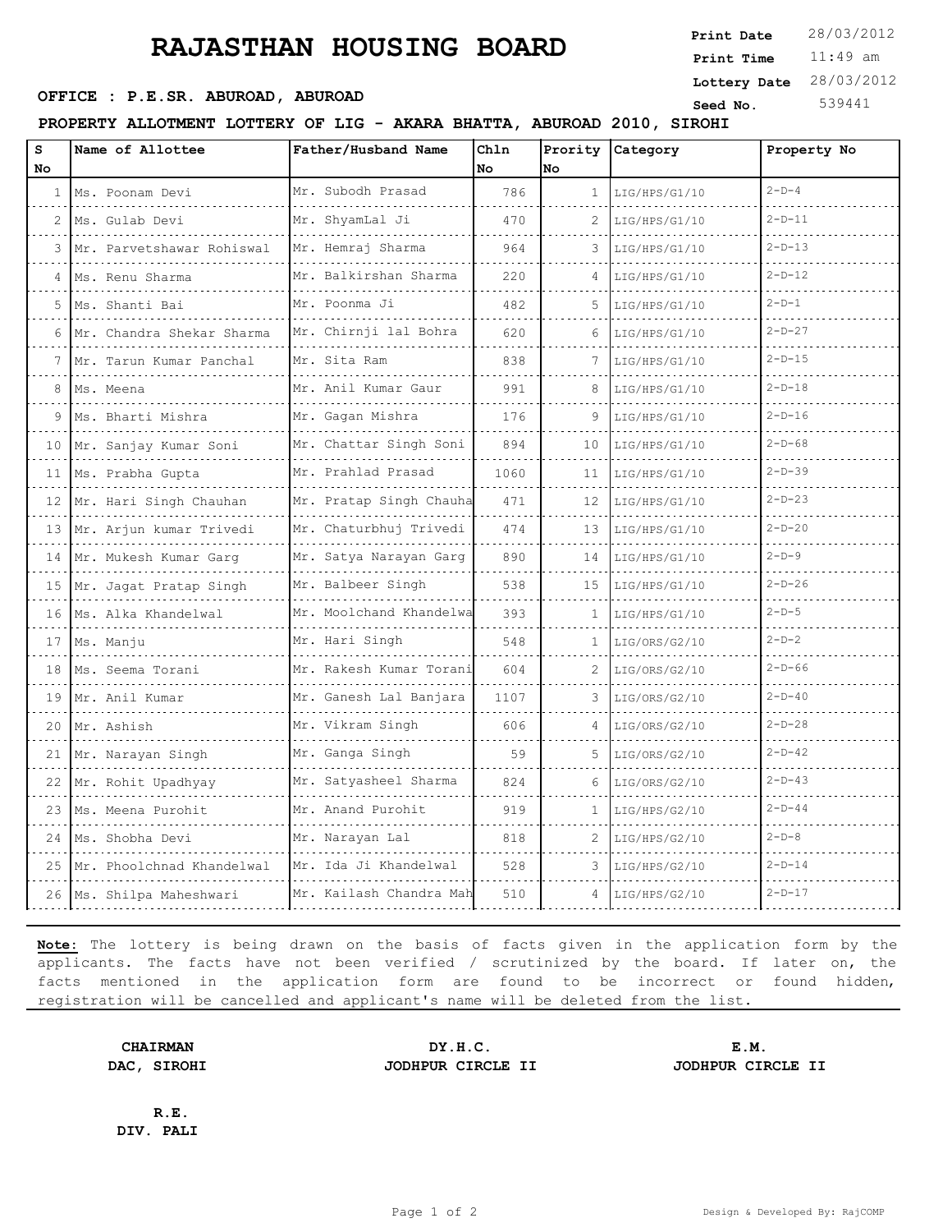## **RAJASTHAN HOUSING BOARD**

11:49 am **Print Time Print Date**  $28/03/2012$ **OFFICE : P.E.SR. ABUROAD, ABUROAD Seed No.** 539441 **Lottery Date** 28/03/2012

**PROPERTY ALLOTMENT LOTTERY OF LIG - AKARA BHATTA, ABUROAD 2010, SIROHI**

| s<br>No | Name of Allottee             | Father/Husband Name     | Chln<br>No | Prority<br>No  | Category      | Property No |
|---------|------------------------------|-------------------------|------------|----------------|---------------|-------------|
|         | 1   Ms. Poonam Devi          | Mr. Subodh Prasad       | 786        | $\mathbf{1}$   | LIG/HPS/G1/10 | $2-D-4$     |
|         | 2   Ms. Gulab Devi           | Mr. ShyamLal Ji         | 470        | 2              | LIG/HPS/G1/10 | $2-D-11$    |
| 3       | Mr. Parvetshawar Rohiswal    | Mr. Hemraj Sharma       | 964        | 3              | LIG/HPS/G1/10 | $2-D-13$    |
| 4       | Ms. Renu Sharma              | Mr. Balkirshan Sharma   | 220        | 4              | LIG/HPS/G1/10 | $2-D-12$    |
| 5       | Ms. Shanti Bai               | Mr. Poonma Ji           | 482        | 5.             | LIG/HPS/G1/10 | $2-D-1$     |
| 6       | Mr. Chandra Shekar Sharma    | Mr. Chirnji lal Bohra   | 620        | 6              | LIG/HPS/G1/10 | $2-D-27$    |
| 7.      | Mr. Tarun Kumar Panchal      | Mr. Sita Ram            | 838        | 7              | LIG/HPS/G1/10 | $2-D-15$    |
| 8       | Ms. Meena                    | Mr. Anil Kumar Gaur     | 991        | 8              | LIG/HPS/G1/10 | $2-D-18$    |
| 9       | Ms. Bharti Mishra            | Mr. Gaqan Mishra        | 176        | 9              | LIG/HPS/G1/10 | $2-D-16$    |
| 10      | Mr. Sanjay Kumar Soni        | Mr. Chattar Singh Soni  | 894        | 10             | LIG/HPS/G1/10 | $2-D-68$    |
|         | 11   Ms. Prabha Gupta        | Mr. Prahlad Prasad      | 1060       | 11             | LIG/HPS/G1/10 | $2-D-39$    |
| 12      | Mr. Hari Singh Chauhan       | Mr. Pratap Singh Chauha | 471        | 12             | LIG/HPS/G1/10 | $2-D-23$    |
|         | 13 Mr. Arjun kumar Trivedi   | Mr. Chaturbhuj Trivedi  | 474        | 13             | LIG/HPS/G1/10 | $2-D-20$    |
|         | 14 Mr. Mukesh Kumar Garg     | Mr. Satya Narayan Garg  | 890        | 14             | LIG/HPS/G1/10 | $2-D-9$     |
| 15      | Mr. Jagat Pratap Singh       | Mr. Balbeer Singh       | 538        | 15             | LIG/HPS/G1/10 | $2-D-26$    |
|         | 16 Ms. Alka Khandelwal       | Mr. Moolchand Khandelwa | 393        | 1              | LIG/HPS/G1/10 | $2-D-5$     |
|         | 17   Ms. Manju               | Mr. Hari Singh          | 548        | $\mathbf{1}$   | LIG/ORS/G2/10 | $2-D-2$     |
| 18      | Ms. Seema Torani             | Mr. Rakesh Kumar Torani | 604        | $\mathfrak{D}$ | LIG/ORS/G2/10 | $2-D-66$    |
|         | 19 Mr. Anil Kumar            | Mr. Ganesh Lal Banjara  | 1107       | 3              | LIG/ORS/G2/10 | $2-D-40$    |
|         | 20 Mr. Ashish                | Mr. Vikram Singh        | 606        |                | LIG/ORS/G2/10 | $2-D-28$    |
| 21      | Mr. Narayan Singh            | Mr. Ganga Singh         | 59         | 5              | LIG/ORS/G2/10 | $2-D-42$    |
|         | 22  Mr. Rohit Upadhyay       | Mr. Satyasheel Sharma   | 824        | 6              | LIG/ORS/G2/10 | $2-D-43$    |
|         | 23   Ms. Meena Purohit       | Mr. Anand Purohit       | 919        | $\mathbf{1}$   | LIG/HPS/G2/10 | $2-D-44$    |
| 24      | Ms. Shobha Devi              | Mr. Narayan Lal         | 818        | 2              | LIG/HPS/G2/10 | $2-D-8$     |
|         | 25 Mr. Phoolchnad Khandelwal | Mr. Ida Ji Khandelwal   | 528        | 3              | LIG/HPS/G2/10 | $2-D-14$    |
|         | 26   Ms. Shilpa Maheshwari   | Mr. Kailash Chandra Mah | 510        |                | LIG/HPS/G2/10 | $2-D-17$    |

**Note:** The lottery is being drawn on the basis of facts given in the application form by the applicants. The facts have not been verified / scrutinized by the board. If later on, the facts mentioned in the application form are found to be incorrect or found hidden, registration will be cancelled and applicant's name will be deleted from the list.

**CHAIRMAN DY.H.C. E.M. DAC, SIROHI JODHPUR CIRCLE II JODHPUR CIRCLE II**

**R.E. DIV. PALI**